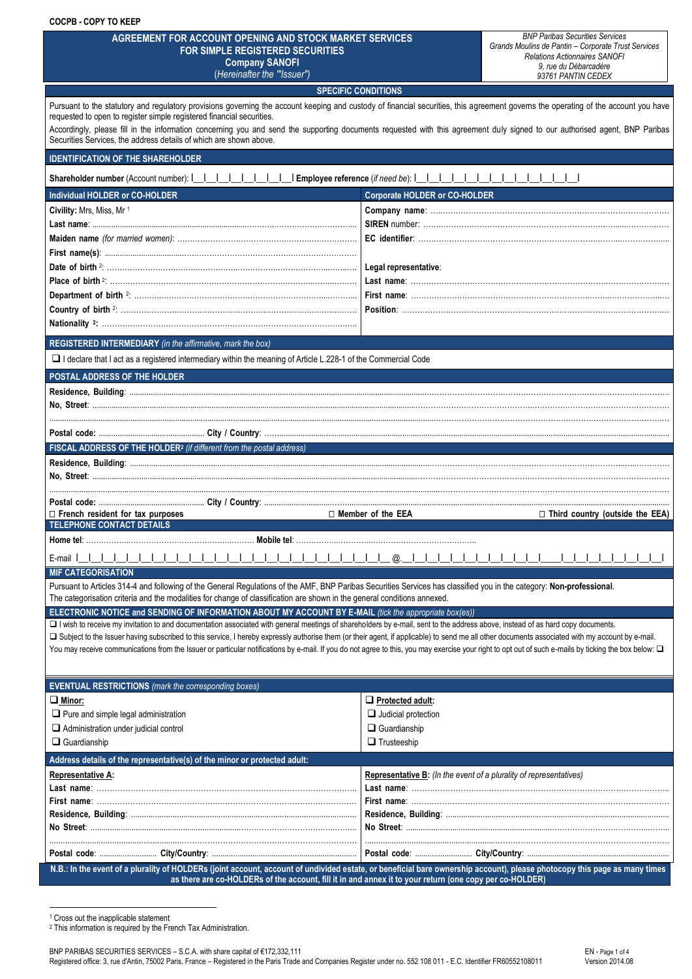| <b>COCPB - COPY TO KEEP</b>                                                                                                                                                                                                                                                                                                                                                                                                                                                                                                                                                                            |                                                                                                                                                                                      |
|--------------------------------------------------------------------------------------------------------------------------------------------------------------------------------------------------------------------------------------------------------------------------------------------------------------------------------------------------------------------------------------------------------------------------------------------------------------------------------------------------------------------------------------------------------------------------------------------------------|--------------------------------------------------------------------------------------------------------------------------------------------------------------------------------------|
| AGREEMENT FOR ACCOUNT OPENING AND STOCK MARKET SERVICES<br>FOR SIMPLE REGISTERED SECURITIES<br><b>Company SANOFI</b><br>(Hereinafter the "Issuer")                                                                                                                                                                                                                                                                                                                                                                                                                                                     | <b>BNP Paribas Securities Services</b><br>Grands Moulins de Pantin - Corporate Trust Services<br><b>Relations Actionnaires SANOFI</b><br>9, rue du Débarcadère<br>93761 PANTIN CEDEX |
| <b>SPECIFIC CONDITIONS</b>                                                                                                                                                                                                                                                                                                                                                                                                                                                                                                                                                                             |                                                                                                                                                                                      |
| Pursuant to the statutory and regulatory provisions governing the account keeping and custody of financial securities, this agreement governs the operating of the account you have<br>requested to open to register simple registered financial securities.<br>Securities Services, the address details of which are shown above.                                                                                                                                                                                                                                                                     | Accordingly, please fill in the information concerning you and send the supporting documents requested with this agreement duly signed to our authorised agent, BNP Paribas          |
| <b>IDENTIFICATION OF THE SHAREHOLDER</b>                                                                                                                                                                                                                                                                                                                                                                                                                                                                                                                                                               |                                                                                                                                                                                      |
|                                                                                                                                                                                                                                                                                                                                                                                                                                                                                                                                                                                                        |                                                                                                                                                                                      |
| Shareholder number (Account number):                   Employee reference (if need be):                                                                                                                                                                                                                                                                                                                                                                                                                                                                                                                |                                                                                                                                                                                      |
| Individual HOLDER or CO-HOLDER                                                                                                                                                                                                                                                                                                                                                                                                                                                                                                                                                                         | <b>Corporate HOLDER or CO-HOLDER</b>                                                                                                                                                 |
| Civility: Mrs, Miss, Mr 1                                                                                                                                                                                                                                                                                                                                                                                                                                                                                                                                                                              |                                                                                                                                                                                      |
|                                                                                                                                                                                                                                                                                                                                                                                                                                                                                                                                                                                                        |                                                                                                                                                                                      |
|                                                                                                                                                                                                                                                                                                                                                                                                                                                                                                                                                                                                        |                                                                                                                                                                                      |
|                                                                                                                                                                                                                                                                                                                                                                                                                                                                                                                                                                                                        |                                                                                                                                                                                      |
|                                                                                                                                                                                                                                                                                                                                                                                                                                                                                                                                                                                                        | Legal representative:                                                                                                                                                                |
|                                                                                                                                                                                                                                                                                                                                                                                                                                                                                                                                                                                                        |                                                                                                                                                                                      |
|                                                                                                                                                                                                                                                                                                                                                                                                                                                                                                                                                                                                        |                                                                                                                                                                                      |
|                                                                                                                                                                                                                                                                                                                                                                                                                                                                                                                                                                                                        |                                                                                                                                                                                      |
|                                                                                                                                                                                                                                                                                                                                                                                                                                                                                                                                                                                                        |                                                                                                                                                                                      |
| REGISTERED INTERMEDIARY (in the affirmative, mark the box)                                                                                                                                                                                                                                                                                                                                                                                                                                                                                                                                             |                                                                                                                                                                                      |
| □ I declare that I act as a registered intermediary within the meaning of Article L.228-1 of the Commercial Code                                                                                                                                                                                                                                                                                                                                                                                                                                                                                       |                                                                                                                                                                                      |
| POSTAL ADDRESS OF THE HOLDER                                                                                                                                                                                                                                                                                                                                                                                                                                                                                                                                                                           |                                                                                                                                                                                      |
|                                                                                                                                                                                                                                                                                                                                                                                                                                                                                                                                                                                                        |                                                                                                                                                                                      |
|                                                                                                                                                                                                                                                                                                                                                                                                                                                                                                                                                                                                        |                                                                                                                                                                                      |
|                                                                                                                                                                                                                                                                                                                                                                                                                                                                                                                                                                                                        |                                                                                                                                                                                      |
| FISCAL ADDRESS OF THE HOLDER <sup>2</sup> (if different from the postal address)                                                                                                                                                                                                                                                                                                                                                                                                                                                                                                                       |                                                                                                                                                                                      |
|                                                                                                                                                                                                                                                                                                                                                                                                                                                                                                                                                                                                        |                                                                                                                                                                                      |
|                                                                                                                                                                                                                                                                                                                                                                                                                                                                                                                                                                                                        |                                                                                                                                                                                      |
|                                                                                                                                                                                                                                                                                                                                                                                                                                                                                                                                                                                                        |                                                                                                                                                                                      |
|                                                                                                                                                                                                                                                                                                                                                                                                                                                                                                                                                                                                        |                                                                                                                                                                                      |
|                                                                                                                                                                                                                                                                                                                                                                                                                                                                                                                                                                                                        |                                                                                                                                                                                      |
| $\Box$ French resident for tax purposes                                                                                                                                                                                                                                                                                                                                                                                                                                                                                                                                                                | $\sqcap$ Member of the EEA<br>$\Box$ Third country (outside the EEA)                                                                                                                 |
| <b>TELEPHONE CONTACT DETAILS</b>                                                                                                                                                                                                                                                                                                                                                                                                                                                                                                                                                                       |                                                                                                                                                                                      |
|                                                                                                                                                                                                                                                                                                                                                                                                                                                                                                                                                                                                        |                                                                                                                                                                                      |
| E-mail I                                                                                                                                                                                                                                                                                                                                                                                                                                                                                                                                                                                               |                                                                                                                                                                                      |
| <b>MIF CATEGORISATION</b>                                                                                                                                                                                                                                                                                                                                                                                                                                                                                                                                                                              |                                                                                                                                                                                      |
| Pursuant to Articles 314-4 and following of the General Regulations of the AMF, BNP Paribas Securities Services has classified you in the category: Non-professional.                                                                                                                                                                                                                                                                                                                                                                                                                                  |                                                                                                                                                                                      |
| The categorisation criteria and the modalities for change of classification are shown in the general conditions annexed.                                                                                                                                                                                                                                                                                                                                                                                                                                                                               |                                                                                                                                                                                      |
| ELECTRONIC NOTICE and SENDING OF INFORMATION ABOUT MY ACCOUNT BY E-MAIL (tick the appropriate box(es))                                                                                                                                                                                                                                                                                                                                                                                                                                                                                                 |                                                                                                                                                                                      |
| I I wish to receive my invitation to and documentation associated with general meetings of shareholders by e-mail, sent to the address above, instead of as hard copy documents.<br>□ Subject to the Issuer having subscribed to this service, I hereby expressly authorise them (or their agent, if applicable) to send me all other documents associated with my account by e-mail.<br>You may receive communications from the Issuer or particular notifications by e-mail. If you do not agree to this, you may exercise your right to opt out of such e-mails by ticking the box below: $\square$ |                                                                                                                                                                                      |
|                                                                                                                                                                                                                                                                                                                                                                                                                                                                                                                                                                                                        |                                                                                                                                                                                      |
| <b>EVENTUAL RESTRICTIONS</b> (mark the corresponding boxes)                                                                                                                                                                                                                                                                                                                                                                                                                                                                                                                                            |                                                                                                                                                                                      |
| $\Box$ Minor:                                                                                                                                                                                                                                                                                                                                                                                                                                                                                                                                                                                          | Protected adult:                                                                                                                                                                     |
| $\Box$ Pure and simple legal administration                                                                                                                                                                                                                                                                                                                                                                                                                                                                                                                                                            | $\Box$ Judicial protection                                                                                                                                                           |
| Administration under judicial control                                                                                                                                                                                                                                                                                                                                                                                                                                                                                                                                                                  | $\Box$ Guardianship                                                                                                                                                                  |
| $\Box$ Guardianship                                                                                                                                                                                                                                                                                                                                                                                                                                                                                                                                                                                    | $\Box$ Trusteeship                                                                                                                                                                   |
| Address details of the representative(s) of the minor or protected adult:                                                                                                                                                                                                                                                                                                                                                                                                                                                                                                                              |                                                                                                                                                                                      |
| Representative A:                                                                                                                                                                                                                                                                                                                                                                                                                                                                                                                                                                                      | Representative B: (In the event of a plurality of representatives)                                                                                                                   |
|                                                                                                                                                                                                                                                                                                                                                                                                                                                                                                                                                                                                        |                                                                                                                                                                                      |
|                                                                                                                                                                                                                                                                                                                                                                                                                                                                                                                                                                                                        |                                                                                                                                                                                      |
|                                                                                                                                                                                                                                                                                                                                                                                                                                                                                                                                                                                                        |                                                                                                                                                                                      |
|                                                                                                                                                                                                                                                                                                                                                                                                                                                                                                                                                                                                        |                                                                                                                                                                                      |
|                                                                                                                                                                                                                                                                                                                                                                                                                                                                                                                                                                                                        |                                                                                                                                                                                      |
| N.B.: In the event of a plurality of HOLDERs (joint account, account of undivided estate, or beneficial bare ownership account), please photocopy this page as many times                                                                                                                                                                                                                                                                                                                                                                                                                              |                                                                                                                                                                                      |

l <sup>1</sup> Cross out the inapplicable statement

<sup>2</sup> This information is required by the French Tax Administration.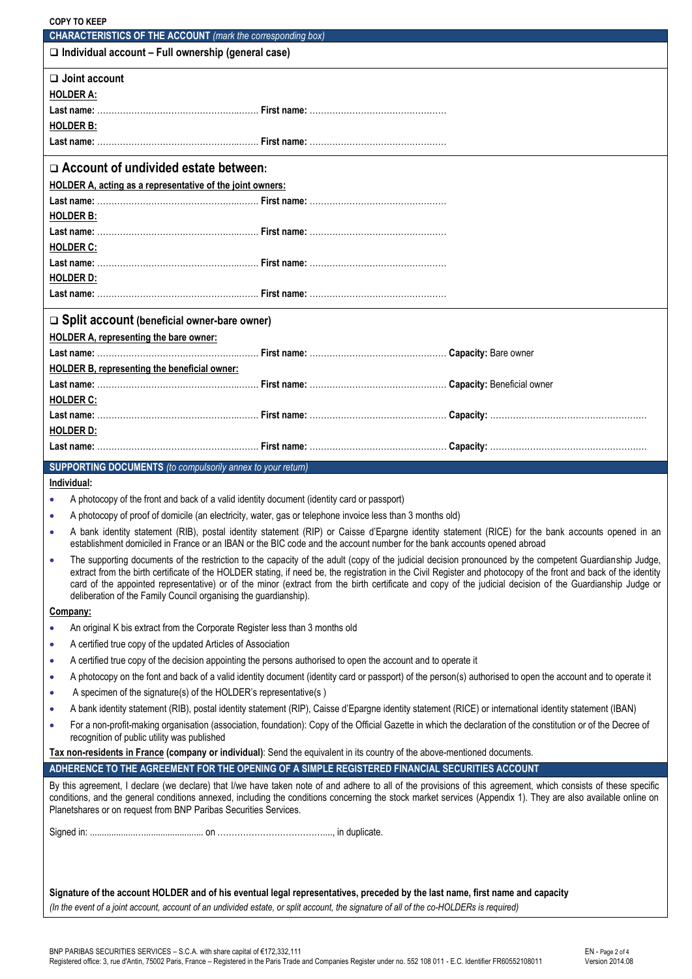| <b>COPY TO KEEP</b>                                                                                                        |  |                                                                                                                                                                                                                                                                                                                                                                                                                                                                                         |
|----------------------------------------------------------------------------------------------------------------------------|--|-----------------------------------------------------------------------------------------------------------------------------------------------------------------------------------------------------------------------------------------------------------------------------------------------------------------------------------------------------------------------------------------------------------------------------------------------------------------------------------------|
| <b>CHARACTERISTICS OF THE ACCOUNT</b> (mark the corresponding box)                                                         |  |                                                                                                                                                                                                                                                                                                                                                                                                                                                                                         |
| $\Box$ Individual account - Full ownership (general case)                                                                  |  |                                                                                                                                                                                                                                                                                                                                                                                                                                                                                         |
| $\Box$ Joint account                                                                                                       |  |                                                                                                                                                                                                                                                                                                                                                                                                                                                                                         |
| <b>HOLDER A:</b>                                                                                                           |  |                                                                                                                                                                                                                                                                                                                                                                                                                                                                                         |
|                                                                                                                            |  |                                                                                                                                                                                                                                                                                                                                                                                                                                                                                         |
| <b>HOLDER B:</b>                                                                                                           |  |                                                                                                                                                                                                                                                                                                                                                                                                                                                                                         |
|                                                                                                                            |  |                                                                                                                                                                                                                                                                                                                                                                                                                                                                                         |
| $\Box$ Account of undivided estate between:                                                                                |  |                                                                                                                                                                                                                                                                                                                                                                                                                                                                                         |
| HOLDER A, acting as a representative of the joint owners:                                                                  |  |                                                                                                                                                                                                                                                                                                                                                                                                                                                                                         |
| <b>HOLDER B:</b>                                                                                                           |  |                                                                                                                                                                                                                                                                                                                                                                                                                                                                                         |
|                                                                                                                            |  |                                                                                                                                                                                                                                                                                                                                                                                                                                                                                         |
| <b>HOLDER C:</b>                                                                                                           |  |                                                                                                                                                                                                                                                                                                                                                                                                                                                                                         |
|                                                                                                                            |  |                                                                                                                                                                                                                                                                                                                                                                                                                                                                                         |
| <b>HOLDER D:</b>                                                                                                           |  |                                                                                                                                                                                                                                                                                                                                                                                                                                                                                         |
|                                                                                                                            |  |                                                                                                                                                                                                                                                                                                                                                                                                                                                                                         |
| $\Box$ Split account (beneficial owner-bare owner)                                                                         |  |                                                                                                                                                                                                                                                                                                                                                                                                                                                                                         |
| <b>HOLDER A, representing the bare owner:</b>                                                                              |  |                                                                                                                                                                                                                                                                                                                                                                                                                                                                                         |
|                                                                                                                            |  |                                                                                                                                                                                                                                                                                                                                                                                                                                                                                         |
| <b>HOLDER B, representing the beneficial owner:</b>                                                                        |  |                                                                                                                                                                                                                                                                                                                                                                                                                                                                                         |
|                                                                                                                            |  |                                                                                                                                                                                                                                                                                                                                                                                                                                                                                         |
| <b>HOLDER C:</b>                                                                                                           |  |                                                                                                                                                                                                                                                                                                                                                                                                                                                                                         |
|                                                                                                                            |  |                                                                                                                                                                                                                                                                                                                                                                                                                                                                                         |
| <b>HOLDER D:</b>                                                                                                           |  |                                                                                                                                                                                                                                                                                                                                                                                                                                                                                         |
|                                                                                                                            |  |                                                                                                                                                                                                                                                                                                                                                                                                                                                                                         |
|                                                                                                                            |  |                                                                                                                                                                                                                                                                                                                                                                                                                                                                                         |
| <b>SUPPORTING DOCUMENTS</b> (to compulsorily annex to your return)                                                         |  |                                                                                                                                                                                                                                                                                                                                                                                                                                                                                         |
| Individual:                                                                                                                |  |                                                                                                                                                                                                                                                                                                                                                                                                                                                                                         |
| A photocopy of the front and back of a valid identity document (identity card or passport)                                 |  |                                                                                                                                                                                                                                                                                                                                                                                                                                                                                         |
| A photocopy of proof of domicile (an electricity, water, gas or telephone invoice less than 3 months old)                  |  |                                                                                                                                                                                                                                                                                                                                                                                                                                                                                         |
|                                                                                                                            |  | A bank identity statement (RIB), postal identity statement (RIP) or Caisse d'Epargne identity statement (RICE) for the bank accounts opened in an<br>establishment domiciled in France or an IBAN or the BIC code and the account number for the bank accounts opened abroad                                                                                                                                                                                                            |
| $\bullet$<br>deliberation of the Family Council organising the guardianship).                                              |  | The supporting documents of the restriction to the capacity of the adult (copy of the judicial decision pronounced by the competent Guardianship Judge,<br>extract from the birth certificate of the HOLDER stating, if need be, the registration in the Civil Register and photocopy of the front and back of the identity<br>card of the appointed representative) or of the minor (extract from the birth certificate and copy of the judicial decision of the Guardianship Judge or |
| Company:                                                                                                                   |  |                                                                                                                                                                                                                                                                                                                                                                                                                                                                                         |
| An original K bis extract from the Corporate Register less than 3 months old                                               |  |                                                                                                                                                                                                                                                                                                                                                                                                                                                                                         |
| A certified true copy of the updated Articles of Association<br>۰                                                          |  |                                                                                                                                                                                                                                                                                                                                                                                                                                                                                         |
| A certified true copy of the decision appointing the persons authorised to open the account and to operate it<br>$\bullet$ |  |                                                                                                                                                                                                                                                                                                                                                                                                                                                                                         |
| ۰                                                                                                                          |  | A photocopy on the font and back of a valid identity document (identity card or passport) of the person(s) authorised to open the account and to operate it                                                                                                                                                                                                                                                                                                                             |
| A specimen of the signature(s) of the HOLDER's representative(s)<br>$\bullet$                                              |  |                                                                                                                                                                                                                                                                                                                                                                                                                                                                                         |
| $\bullet$                                                                                                                  |  | A bank identity statement (RIB), postal identity statement (RIP), Caisse d'Epargne identity statement (RICE) or international identity statement (IBAN)                                                                                                                                                                                                                                                                                                                                 |
| $\bullet$<br>recognition of public utility was published                                                                   |  | For a non-profit-making organisation (association, foundation): Copy of the Official Gazette in which the declaration of the constitution or of the Decree of                                                                                                                                                                                                                                                                                                                           |
| Tax non-residents in France (company or individual): Send the equivalent in its country of the above-mentioned documents.  |  |                                                                                                                                                                                                                                                                                                                                                                                                                                                                                         |
| ADHERENCE TO THE AGREEMENT FOR THE OPENING OF A SIMPLE REGISTERED FINANCIAL SECURITIES ACCOUNT                             |  |                                                                                                                                                                                                                                                                                                                                                                                                                                                                                         |
| Planetshares or on request from BNP Paribas Securities Services.                                                           |  | By this agreement, I declare (we declare) that I/we have taken note of and adhere to all of the provisions of this agreement, which consists of these specific<br>conditions, and the general conditions annexed, including the conditions concerning the stock market services (Appendix 1). They are also available online on                                                                                                                                                         |
|                                                                                                                            |  |                                                                                                                                                                                                                                                                                                                                                                                                                                                                                         |
|                                                                                                                            |  |                                                                                                                                                                                                                                                                                                                                                                                                                                                                                         |
|                                                                                                                            |  |                                                                                                                                                                                                                                                                                                                                                                                                                                                                                         |
|                                                                                                                            |  | Signature of the account HOLDER and of his eventual legal representatives, preceded by the last name, first name and capacity                                                                                                                                                                                                                                                                                                                                                           |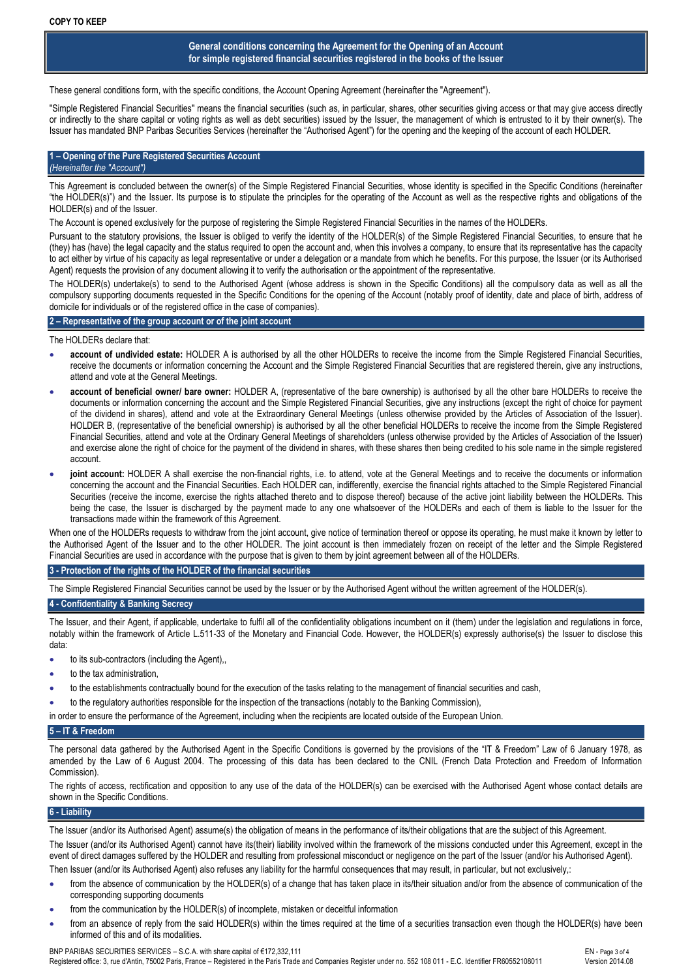# **General conditions concerning the Agreement for the Opening of an Account for simple registered financial securities registered in the books of the Issuer**

These general conditions form, with the specific conditions, the Account Opening Agreement (hereinafter the "Agreement").

"Simple Registered Financial Securities" means the financial securities (such as, in particular, shares, other securities giving access or that may give access directly or indirectly to the share capital or voting rights as well as debt securities) issued by the Issuer, the management of which is entrusted to it by their owner(s). The Issuer has mandated BNP Paribas Securities Services (hereinafter the "Authorised Agent") for the opening and the keeping of the account of each HOLDER.

#### **1 – Opening of the Pure Registered Securities Account** *(Hereinafter the "Account")*

This Agreement is concluded between the owner(s) of the Simple Registered Financial Securities, whose identity is specified in the Specific Conditions (hereinafter "the HOLDER(s)") and the Issuer. Its purpose is to stipulate the principles for the operating of the Account as well as the respective rights and obligations of the HOLDER(s) and of the Issuer.

The Account is opened exclusively for the purpose of registering the Simple Registered Financial Securities in the names of the HOLDERs.

Pursuant to the statutory provisions, the Issuer is obliged to verify the identity of the HOLDER(s) of the Simple Registered Financial Securities, to ensure that he (they) has (have) the legal capacity and the status required to open the account and, when this involves a company, to ensure that its representative has the capacity to act either by virtue of his capacity as legal representative or under a delegation or a mandate from which he benefits. For this purpose, the Issuer (or its Authorised Agent) requests the provision of any document allowing it to verify the authorisation or the appointment of the representative.

The HOLDER(s) undertake(s) to send to the Authorised Agent (whose address is shown in the Specific Conditions) all the compulsory data as well as all the compulsory supporting documents requested in the Specific Conditions for the opening of the Account (notably proof of identity, date and place of birth, address of domicile for individuals or of the registered office in the case of companies).

# **2 – Representative of the group account or of the joint account**

The HOLDERs declare that:

- **account of undivided estate:** HOLDER A is authorised by all the other HOLDERs to receive the income from the Simple Registered Financial Securities, receive the documents or information concerning the Account and the Simple Registered Financial Securities that are registered therein, give any instructions, attend and vote at the General Meetings.
- **account of beneficial owner/ bare owner:** HOLDER A, (representative of the bare ownership) is authorised by all the other bare HOLDERs to receive the documents or information concerning the account and the Simple Registered Financial Securities, give any instructions (except the right of choice for payment of the dividend in shares), attend and vote at the Extraordinary General Meetings (unless otherwise provided by the Articles of Association of the Issuer). HOLDER B, (representative of the beneficial ownership) is authorised by all the other beneficial HOLDERs to receive the income from the Simple Registered Financial Securities, attend and vote at the Ordinary General Meetings of shareholders (unless otherwise provided by the Articles of Association of the Issuer) and exercise alone the right of choice for the payment of the dividend in shares, with these shares then being credited to his sole name in the simple registered account.
- **joint account:** HOLDER A shall exercise the non-financial rights, i.e. to attend, vote at the General Meetings and to receive the documents or information concerning the account and the Financial Securities. Each HOLDER can, indifferently, exercise the financial rights attached to the Simple Registered Financial Securities (receive the income, exercise the rights attached thereto and to dispose thereof) because of the active joint liability between the HOLDERs. This being the case, the Issuer is discharged by the payment made to any one whatsoever of the HOLDERs and each of them is liable to the Issuer for the transactions made within the framework of this Agreement.

When one of the HOLDERs requests to withdraw from the joint account, give notice of termination thereof or oppose its operating, he must make it known by letter to the Authorised Agent of the Issuer and to the other HOLDER. The joint account is then immediately frozen on receipt of the letter and the Simple Registered Financial Securities are used in accordance with the purpose that is given to them by joint agreement between all of the HOLDERs.

# **3 - Protection of the rights of the HOLDER of the financial securities**

The Simple Registered Financial Securities cannot be used by the Issuer or by the Authorised Agent without the written agreement of the HOLDER(s).

## **4 - Confidentiality & Banking Secrecy**

The Issuer, and their Agent, if applicable, undertake to fulfil all of the confidentiality obligations incumbent on it (them) under the legislation and regulations in force, notably within the framework of Article L.511-33 of the Monetary and Financial Code. However, the HOLDER(s) expressly authorise(s) the Issuer to disclose this data:

- to its sub-contractors (including the Agent),,
- to the tax administration,
- to the establishments contractually bound for the execution of the tasks relating to the management of financial securities and cash,
- to the regulatory authorities responsible for the inspection of the transactions (notably to the Banking Commission),
- in order to ensure the performance of the Agreement, including when the recipients are located outside of the European Union.

# **5 – IT & Freedom**

The personal data gathered by the Authorised Agent in the Specific Conditions is governed by the provisions of the "IT & Freedom" Law of 6 January 1978, as amended by the Law of 6 August 2004. The processing of this data has been declared to the CNIL (French Data Protection and Freedom of Information Commission).

The rights of access, rectification and opposition to any use of the data of the HOLDER(s) can be exercised with the Authorised Agent whose contact details are shown in the Specific Conditions.

# **6 - Liability**

The Issuer (and/or its Authorised Agent) assume(s) the obligation of means in the performance of its/their obligations that are the subject of this Agreement. The Issuer (and/or its Authorised Agent) cannot have its(their) liability involved within the framework of the missions conducted under this Agreement, except in the event of direct damages suffered by the HOLDER and resulting from professional misconduct or negligence on the part of the Issuer (and/or his Authorised Agent).

Then Issuer (and/or its Authorised Agent) also refuses any liability for the harmful consequences that may result, in particular, but not exclusively,:

- from the absence of communication by the HOLDER(s) of a change that has taken place in its/their situation and/or from the absence of communication of the corresponding supporting documents
- from the communication by the HOLDER(s) of incomplete, mistaken or deceitful information
- from an absence of reply from the said HOLDER(s) within the times required at the time of a securities transaction even though the HOLDER(s) have been informed of this and of its modalities.